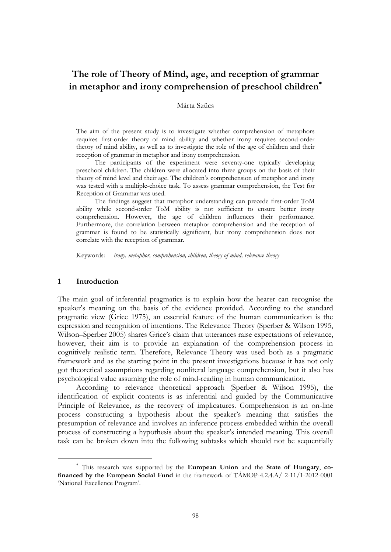# **The role of Theory of Mind, age, and reception of grammar in metaphor and irony comprehension of preschool children**

# Márta Szücs

The aim of the present study is to investigate whether comprehension of metaphors requires first-order theory of mind ability and whether irony requires second-order theory of mind ability, as well as to investigate the role of the age of children and their reception of grammar in metaphor and irony comprehension.

The participants of the experiment were seventy-one typically developing preschool children. The children were allocated into three groups on the basis of their theory of mind level and their age. The children"s comprehension of metaphor and irony was tested with a multiple-choice task. To assess grammar comprehension, the Test for Reception of Grammar was used.

The findings suggest that metaphor understanding can precede first-order ToM ability while second-order ToM ability is not sufficient to ensure better irony comprehension. However, the age of children influences their performance. Furthermore, the correlation between metaphor comprehension and the reception of grammar is found to be statistically significant, but irony comprehension does not correlate with the reception of grammar.

Keywords: *irony, metaphor, comprehension, children, theory of mind, relevance theory*

#### **1 Introduction**

 $\overline{a}$ 

The main goal of inferential pragmatics is to explain how the hearer can recognise the speaker's meaning on the basis of the evidence provided. According to the standard pragmatic view (Grice 1975), an essential feature of the human communication is the expression and recognition of intentions. The Relevance Theory (Sperber & Wilson 1995, Wilson–Sperber 2005) shares Grice"s claim that utterances raise expectations of relevance, however, their aim is to provide an explanation of the comprehension process in cognitively realistic term. Therefore, Relevance Theory was used both as a pragmatic framework and as the starting point in the present investigations because it has not only got theoretical assumptions regarding nonliteral language comprehension, but it also has psychological value assuming the role of mind-reading in human communication.

According to relevance theoretical approach (Sperber & Wilson 1995), the identification of explicit contents is as inferential and guided by the Communicative Principle of Relevance, as the recovery of implicatures. Comprehension is an on-line process constructing a hypothesis about the speaker"s meaning that satisfies the presumption of relevance and involves an inference process embedded within the overall process of constructing a hypothesis about the speaker"s intended meaning. This overall task can be broken down into the following subtasks which should not be sequentially

This research was supported by the **European Union** and the **State of Hungary**, **cofinanced by the European Social Fund** in the framework of TÁMOP-4.2.4.A/ 2-11/1-2012-0001 'National Excellence Program'.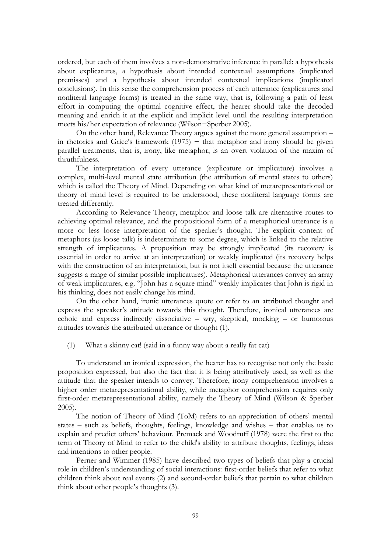ordered, but each of them involves a non-demonstrative inference in parallel: a hypothesis about explicatures, a hypothesis about intended contextual assumptions (implicated premisses) and a hypothesis about intended contextual implications (implicated conclusions). In this sense the comprehension process of each utterance (explicatures and nonliteral language forms) is treated in the same way, that is, following a path of least effort in computing the optimal cognitive effect, the hearer should take the decoded meaning and enrich it at the explicit and implicit level until the resulting interpretation meets his/her expectation of relevance (Wilson−Sperber 2005).

On the other hand, Relevance Theory argues against the more general assumption – in rhetorics and Grice's framework  $(1975)$  – that metaphor and irony should be given parallel treatments, that is, irony, like metaphor, is an overt violation of the maxim of thruthfulness.

The interpretation of every utterance (explicature or implicature) involves a complex, multi-level mental state attribution (the attribution of mental states to others) which is called the Theory of Mind. Depending on what kind of metarepresentational or theory of mind level is required to be understood, these nonliteral language forms are treated differently.

According to Relevance Theory, metaphor and loose talk are alternative routes to achieving optimal relevance, and the propositional form of a metaphorical utterance is a more or less loose interpretation of the speaker's thought. The explicit content of metaphors (as loose talk) is indeterminate to some degree, which is linked to the relative strength of implicatures. A proposition may be strongly implicated (its recovery is essential in order to arrive at an interpretation) or weakly implicated (its recovery helps with the construction of an interpretation, but is not itself essential because the utterance suggests a range of similar possible implicatures). Metaphorical utterances convey an array of weak implicatures, e.g. "John has a square mind" weakly implicates that John is rigid in his thinking, does not easily change his mind.

On the other hand, ironic utterances quote or refer to an attributed thought and express the spreaker's attitude towards this thought. Therefore, ironical utterances are echoic and express indirectly dissociative – wry, skeptical, mocking – or humorous attitudes towards the attributed utterance or thought (1).

(1) What a skinny cat! (said in a funny way about a really fat cat)

To understand an ironical expression, the hearer has to recognise not only the basic proposition expressed, but also the fact that it is being attributively used, as well as the attitude that the speaker intends to convey. Therefore, irony comprehension involves a higher order metarepresentational ability, while metaphor comprehension requires only first-order metarepresentational ability, namely the Theory of Mind (Wilson & Sperber 2005).

The notion of Theory of Mind (ToM) refers to an appreciation of others' mental states – such as beliefs, thoughts, feelings, knowledge and wishes – that enables us to explain and predict others" behaviour. Premack and Woodruff (1978) were the first to the term of Theory of Mind to refer to the child's ability to attribute thoughts, feelings, ideas and intentions to other people.

Perner and Wimmer (1985) have described two types of beliefs that play a crucial role in children"s understanding of social interactions: first-order beliefs that refer to what children think about real events (2) and second-order beliefs that pertain to what children think about other people"s thoughts (3).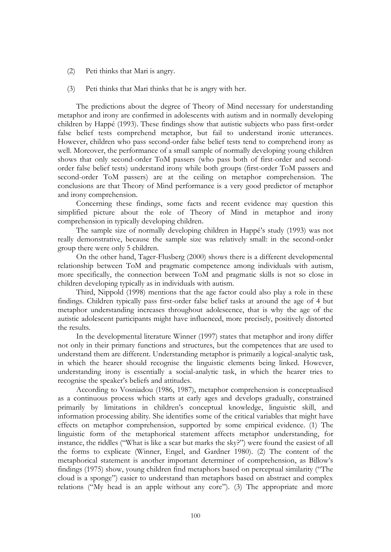- (2) Peti thinks that Mari is angry.
- (3) Peti thinks that Mari thinks that he is angry with her.

The predictions about the degree of Theory of Mind necessary for understanding metaphor and irony are confirmed in adolescents with autism and in normally developing children by Happé (1993). These findings show that autistic subjects who pass first-order false belief tests comprehend metaphor, but fail to understand ironic utterances. However, children who pass second-order false belief tests tend to comprehend irony as well. Moreover, the performance of a small sample of normally developing young children shows that only second-order ToM passers (who pass both of first-order and secondorder false belief tests) understand irony while both groups (first-order ToM passers and second-order ToM passers) are at the ceiling on metaphor comprehension. The conclusions are that Theory of Mind performance is a very good predictor of metaphor and irony comprehension.

Concerning these findings, some facts and recent evidence may question this simplified picture about the role of Theory of Mind in metaphor and irony comprehension in typically developing children.

The sample size of normally developing children in Happé"s study (1993) was not really demonstrative, because the sample size was relatively small: in the second-order group there were only 5 children.

On the other hand, Tager-Flusberg (2000) shows there is a different developmental relationship between ToM and pragmatic competence among individuals with autism, more specifically, the connection between ToM and pragmatic skills is not so close in children developing typically as in individuals with autism.

Third, Nippold (1998) mentions that the age factor could also play a role in these findings. Children typically pass first-order false belief tasks at around the age of 4 but metaphor understanding increases throughout adolescence, that is why the age of the autistic adolescent participants might have influenced, more precisely, positively distorted the results.

In the developmental literature Winner (1997) states that metaphor and irony differ not only in their primary functions and structures, but the competences that are used to understand them are different. Understanding metaphor is primarily a logical-analytic task, in which the hearer should recognise the linguistic elements being linked. However, understanding irony is essentially a social-analytic task, in which the hearer tries to recognise the speaker"s beliefs and attitudes.

According to Vosniadou (1986, 1987), metaphor comprehension is conceptualised as a continuous process which starts at early ages and develops gradually, constrained primarily by limitations in children"s conceptual knowledge, linguistic skill, and information processing ability. She identifies some of the critical variables that might have effects on metaphor comprehension, supported by some empirical evidence. (1) The linguistic form of the metaphorical statement affects metaphor understanding, for instance, the riddles ("What is like a scar but marks the sky?") were found the easiest of all the forms to explicate (Winner, Engel, and Gardner 1980). (2) The content of the metaphorical statement is another important determiner of comprehension, as Billow"s findings (1975) show, young children find metaphors based on perceptual similarity ("The cloud is a sponge") easier to understand than metaphors based on abstract and complex relations ("My head is an apple without any core"). (3) The appropriate and more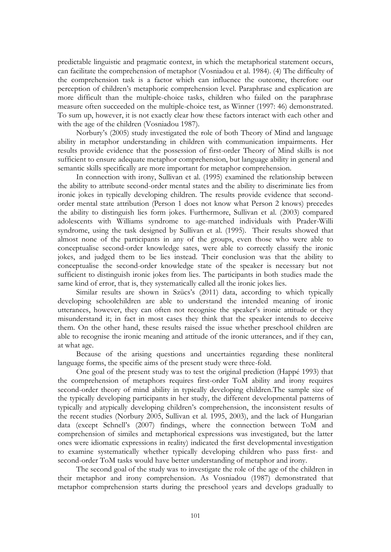predictable linguistic and pragmatic context, in which the metaphorical statement occurs, can facilitate the comprehension of metaphor (Vosniadou et al. 1984). (4) The difficulty of the comprehension task is a factor which can influence the outcome, therefore our perception of children"s metaphoric comprehension level. Paraphrase and explication are more difficult than the multiple-choice tasks, children who failed on the paraphrase measure often succeeded on the multiple-choice test, as Winner (1997: 46) demonstrated. To sum up, however, it is not exactly clear how these factors interact with each other and with the age of the children (Vosniadou 1987).

Norbury"s (2005) study investigated the role of both Theory of Mind and language ability in metaphor understanding in children with communication impairments. Her results provide evidence that the possession of first-order Theory of Mind skills is not sufficient to ensure adequate metaphor comprehension, but language ability in general and semantic skills specifically are more important for metaphor comprehension.

In connection with irony, Sullivan et al. (1995) examined the relationship between the ability to attribute second-order mental states and the ability to discriminate lies from ironic jokes in typically developing children. The results provide evidence that secondorder mental state attribution (Person 1 does not know what Person 2 knows) precedes the ability to distinguish lies form jokes. Furthermore, Sullivan et al. (2003) compared adolescents with Williams syndrome to age-matched individuals with Prader-Willi syndrome, using the task designed by Sullivan et al. (1995). Their results showed that almost none of the participants in any of the groups, even those who were able to conceptualise second-order knowledge sates, were able to correctly classify the ironic jokes, and judged them to be lies instead. Their conclusion was that the ability to conceptualise the second-order knowledge state of the speaker is necessary but not sufficient to distinguish ironic jokes from lies. The participants in both studies made the same kind of error, that is, they systematically called all the ironic jokes lies.

Similar results are shown in Szücs"s (2011) data, according to which typically developing schoolchildren are able to understand the intended meaning of ironic utterances, however, they can often not recognise the speaker's ironic attitude or they misunderstand it; in fact in most cases they think that the speaker intends to deceive them. On the other hand, these results raised the issue whether preschool children are able to recognise the ironic meaning and attitude of the ironic utterances, and if they can, at what age.

Because of the arising questions and uncertainties regarding these nonliteral language forms, the specific aims of the present study were three-fold.

One goal of the present study was to test the original prediction (Happé 1993) that the comprehension of metaphors requires first-order ToM ability and irony requires second-order theory of mind ability in typically developing children.The sample size of the typically developing participants in her study, the different developmental patterns of typically and atypically developing children"s comprehension, the inconsistent results of the recent studies (Norbury 2005, Sullivan et al. 1995, 2003), and the lack of Hungarian data (except Schnell"s (2007) findings, where the connection between ToM and comprehension of similes and metaphorical expressions was investigated, but the latter ones were idiomatic expressions in reality) indicated the first developmental investigation to examine systematically whether typically developing children who pass first- and second-order ToM tasks would have better understanding of metaphor and irony.

The second goal of the study was to investigate the role of the age of the children in their metaphor and irony comprehension. As Vosniadou (1987) demonstrated that metaphor comprehension starts during the preschool years and develops gradually to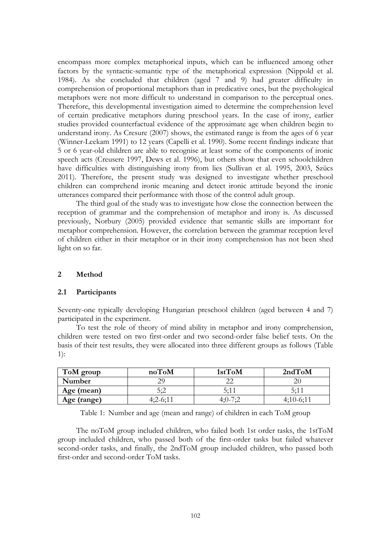encompass more complex metaphorical inputs, which can be influenced among other factors by the syntactic-semantic type of the metaphorical expression (Nippold et al. 1984). As she concluded that children (aged 7 and 9) had greater difficulty in comprehension of proportional metaphors than in predicative ones, but the psychological metaphors were not more difficult to understand in comparison to the perceptual ones. Therefore, this developmental investigation aimed to determine the comprehension level of certain predicative metaphors during preschool years. In the case of irony, earlier studies provided counterfactual evidence of the approximate age when children begin to understand irony. As Cresure (2007) shows, the estimated range is from the ages of 6 year (Winner-Leekam 1991) to 12 years (Capelli et al. 1990). Some recent findings indicate that 5 or 6 year-old children are able to recognise at least some of the components of ironic speech acts (Creusere 1997, Dews et al. 1996), but others show that even schoolchildren have difficulties with distinguishing irony from lies (Sullivan et al. 1995, 2003, Szücs 2011). Therefore, the present study was designed to investigate whether preschool children can comprehend ironic meaning and detect ironic attitude beyond the ironic utterances compared their performance with those of the control adult group.

The third goal of the study was to investigate how close the connection between the reception of grammar and the comprehension of metaphor and irony is. As discussed previously, Norbury (2005) provided evidence that semantic skills are important for metaphor comprehension. However, the correlation between the grammar reception level of children either in their metaphor or in their irony comprehension has not been shed light on so far.

## **2 Method**

## **2.1 Participants**

Seventy-one typically developing Hungarian preschool children (aged between 4 and 7) participated in the experiment.

To test the role of theory of mind ability in metaphor and irony comprehension, children were tested on two first-order and two second-order false belief tests. On the basis of their test results, they were allocated into three different groups as follows (Table 1):

| ToM group   | noToM  | 1stToM | 2ndToM        |
|-------------|--------|--------|---------------|
| Number      |        |        |               |
| Age (mean)  | 5:2    | 5:1    | $5.1^{\circ}$ |
| Age (range) | 4・フーム・ |        |               |

Table 1: Number and age (mean and range) of children in each ToM group

The noToM group included children, who failed both 1st order tasks, the 1stToM group included children, who passed both of the first-order tasks but failed whatever second-order tasks, and finally, the 2ndToM group included children, who passed both first-order and second-order ToM tasks.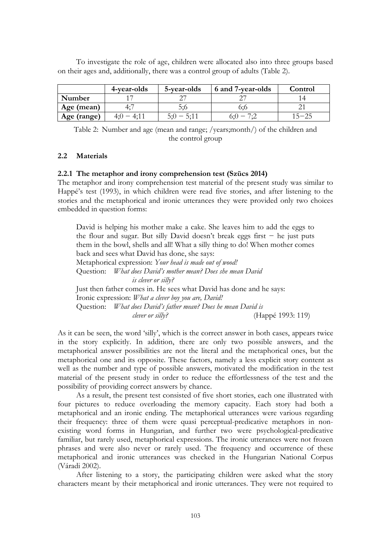To investigate the role of age, children were allocated also into three groups based on their ages and, additionally, there was a control group of adults (Table 2).

|             | 4-year-olds | 5-year-olds | 6 and 7-year-olds | Control   |
|-------------|-------------|-------------|-------------------|-----------|
| Number      |             |             |                   |           |
| Age (mean)  |             | 5:6         |                   |           |
| Age (range) | 4:11<br>4:0 |             | $6(0 - 7)$        | $15 - 25$ |

Table 2: Number and age (mean and range; /years;month/) of the children and the control group

## **2.2 Materials**

## **2.2.1 The metaphor and irony comprehension test (Szücs 2014)**

The metaphor and irony comprehension test material of the present study was similar to Happé's test (1993), in which children were read five stories, and after listening to the stories and the metaphorical and ironic utterances they were provided only two choices embedded in question forms:

David is helping his mother make a cake. She leaves him to add the eggs to the flour and sugar. But silly David doesn"t break eggs first − he just puts them in the bowl, shells and all! What a silly thing to do! When mother comes back and sees what David has done, she says: Metaphorical expression: *Your head is made out of wood!* Question: *What does David's mother mean? Does she mean David is clever or silly?* Just then father comes in. He sees what David has done and he says: Ironic expression: *What a clever boy you are, David!* Question: *What does David's father mean? Does he mean David is clever or silly?* (Happé 1993: 119)

As it can be seen, the word "silly", which is the correct answer in both cases, appears twice in the story explicitly. In addition, there are only two possible answers, and the metaphorical answer possibilities are not the literal and the metaphorical ones, but the metaphorical one and its opposite. These factors, namely a less explicit story content as well as the number and type of possible answers, motivated the modification in the test material of the present study in order to reduce the effortlessness of the test and the possibility of providing correct answers by chance.

As a result, the present test consisted of five short stories, each one illustrated with four pictures to reduce overloading the memory capacity. Each story had both a metaphorical and an ironic ending. The metaphorical utterances were various regarding their frequency: three of them were quasi perceptual-predicative metaphors in nonexisting word forms in Hungarian, and further two were psychological-predicative familiar, but rarely used, metaphorical expressions. The ironic utterances were not frozen phrases and were also never or rarely used. The frequency and occurrence of these metaphorical and ironic utterances was checked in the Hungarian National Corpus (Váradi 2002).

After listening to a story, the participating children were asked what the story characters meant by their metaphorical and ironic utterances. They were not required to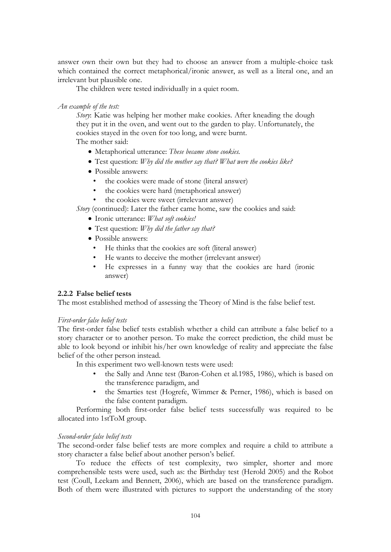answer own their own but they had to choose an answer from a multiple-choice task which contained the correct metaphorical/ironic answer, as well as a literal one, and an irrelevant but plausible one.

The children were tested individually in a quiet room.

*An example of the test:*

*Story*: Katie was helping her mother make cookies. After kneading the dough they put it in the oven, and went out to the garden to play. Unfortunately, the cookies stayed in the oven for too long, and were burnt.

The mother said:

- Metaphorical utterance: *These became stone cookies.*
- Test question: *Why did the mother say that? What were the cookies like?*
- Possible answers:
	- the cookies were made of stone (literal answer)
	- the cookies were hard (metaphorical answer)
	- the cookies were sweet (irrelevant answer)

*Story* (continued): Later the father came home, saw the cookies and said:

- Ironic utterance: *What soft cookies!*
- Test question: *Why did the father say that?*
- Possible answers:
	- He thinks that the cookies are soft (literal answer)
	- He wants to deceive the mother (irrelevant answer)
	- He expresses in a funny way that the cookies are hard (ironic answer)

## **2.2.2 False belief tests**

The most established method of assessing the Theory of Mind is the false belief test.

## *First-order false belief tests*

The first-order false belief tests establish whether a child can attribute a false belief to a story character or to another person. To make the correct prediction, the child must be able to look beyond or inhibit his/her own knowledge of reality and appreciate the false belief of the other person instead.

In this experiment two well-known tests were used:

- the Sally and Anne test (Baron-Cohen et al.1985, 1986), which is based on the transference paradigm, and
- the Smarties test (Hogrefe, Wimmer & Perner, 1986), which is based on the false content paradigm.

Performing both first-order false belief tests successfully was required to be allocated into 1stToM group.

## *Second-order false belief tests*

The second-order false belief tests are more complex and require a child to attribute a story character a false belief about another person's belief.

To reduce the effects of test complexity, two simpler, shorter and more comprehensible tests were used, such as: the Birthday test (Herold 2005) and the Robot test (Coull, Leekam and Bennett, 2006), which are based on the transference paradigm. Both of them were illustrated with pictures to support the understanding of the story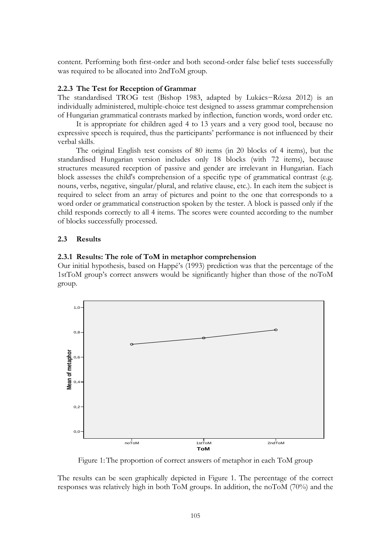content. Performing both first-order and both second-order false belief tests successfully was required to be allocated into 2ndToM group.

## **2.2.3 The Test for Reception of Grammar**

The standardised TROG test (Bishop 1983, adapted by Lukács−Rózsa 2012) is an individually administered, multiple-choice test designed to assess grammar comprehension of Hungarian grammatical contrasts marked by inflection, function words, word order etc.

It is appropriate for children aged 4 to 13 years and a very good tool, because no expressive speech is required, thus the participants" performance is not influenced by their verbal skills.

The original English test consists of 80 items (in 20 blocks of 4 items), but the standardised Hungarian version includes only 18 blocks (with 72 items), because structures measured reception of passive and gender are irrelevant in Hungarian. Each block assesses the child's comprehension of a specific type of grammatical contrast (e.g. nouns, verbs, negative, singular/plural, and relative clause, etc.). In each item the subject is required to select from an array of pictures and point to the one that corresponds to a word order or grammatical construction spoken by the tester. A block is passed only if the child responds correctly to all 4 items. The scores were counted according to the number of blocks successfully processed.

## **2.3 Results**

# **2.3.1 Results: The role of ToM in metaphor comprehension**

Our initial hypothesis, based on Happé"s (1993) prediction was that the percentage of the 1stToM group"s correct answers would be significantly higher than those of the noToM group.



Figure 1:The proportion of correct answers of metaphor in each ToM group

The results can be seen graphically depicted in Figure 1. The percentage of the correct responses was relatively high in both ToM groups. In addition, the noToM (70%) and the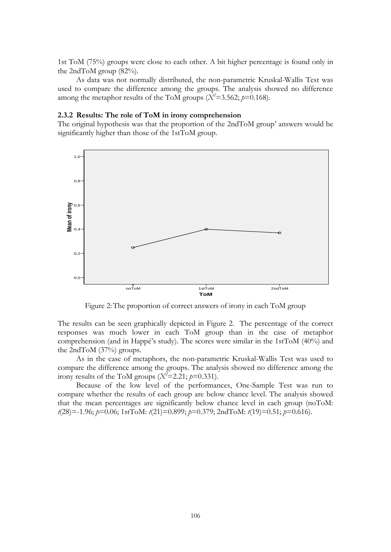1st ToM (75%) groups were close to each other. A bit higher percentage is found only in the 2ndToM group (82%).

As data was not normally distributed, the non-parametric Kruskal-Wallis Test was used to compare the difference among the groups. The analysis showed no difference among the metaphor results of the ToM groups  $(X^2=3.562; p=0.168)$ .

## **2.3.2 Results: The role of ToM in irony comprehension**

The original hypothesis was that the proportion of the 2ndToM group' answers would be significantly higher than those of the 1stToM group.



Figure 2:The proportion of correct answers of irony in each ToM group

The results can be seen graphically depicted in Figure 2. The percentage of the correct responses was much lower in each ToM group than in the case of metaphor comprehension (and in Happé"s study). The scores were similar in the 1stToM (40%) and the 2ndToM (37%) groups.

As in the case of metaphors, the non-parametric Kruskal-Wallis Test was used to compare the difference among the groups. The analysis showed no difference among the irony results of the ToM groups  $(X^2=2.21; p=0.331)$ .

Because of the low level of the performances, One-Sample Test was run to compare whether the results of each group are below chance level. The analysis showed that the mean percentages are significantly below chance level in each group (noToM: *t*(28)=-1.96; *p*=0.06; 1stToM: *t*(21)=0.899; *p*=0.379; 2ndToM: *t*(19)=0.51; *p*=0.616).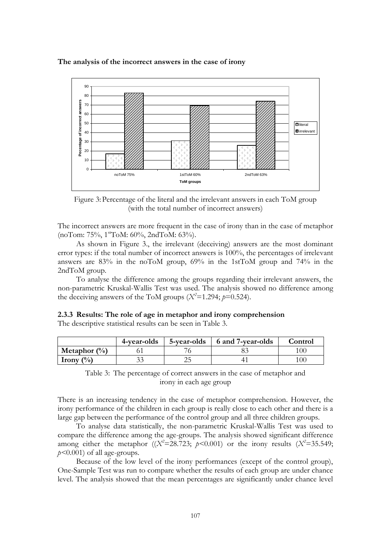**The analysis of the incorrect answers in the case of irony**



Figure 3:Percentage of the literal and the irrelevant answers in each ToM group (with the total number of incorrect answers)

The incorrect answers are more frequent in the case of irony than in the case of metaphor  $(noTom: 75\%, 1<sup>st</sup>ToM: 60\%, 2ndToM: 63\%).$ 

As shown in Figure 3., the irrelevant (deceiving) answers are the most dominant error types: if the total number of incorrect answers is 100%, the percentages of irrelevant answers are 83% in the noToM group, 69% in the 1stToM group and 74% in the 2ndToM group.

To analyse the difference among the groups regarding their irrelevant answers, the non-parametric Kruskal-Wallis Test was used. The analysis showed no difference among the deceiving answers of the ToM groups  $(X^2=1.294; p=0.524)$ .

|  |  |                                                             | 2.3.3 Results: The role of age in metaphor and irony comprehension |
|--|--|-------------------------------------------------------------|--------------------------------------------------------------------|
|  |  | The descriptive statistical results can be seen in Table 3. |                                                                    |

|                                  | 4-year-olds | 5-year-olds | 6 and 7-year-olds | Control |
|----------------------------------|-------------|-------------|-------------------|---------|
| Metaphor $(\%)$                  |             |             |                   |         |
| Irony $\left(\frac{0}{0}\right)$ |             | າເ<br>ىت    |                   |         |



There is an increasing tendency in the case of metaphor comprehension. However, the irony performance of the children in each group is really close to each other and there is a large gap between the performance of the control group and all three children groups.

To analyse data statistically, the non-parametric Kruskal-Wallis Test was used to compare the difference among the age-groups. The analysis showed significant difference among either the metaphor  $((X^2=28.723; p<0.001)$  or the irony results  $(X^2=35.549;$ *p<*0.001) of all age-groups.

Because of the low level of the irony performances (except of the control group), One-Sample Test was run to compare whether the results of each group are under chance level. The analysis showed that the mean percentages are significantly under chance level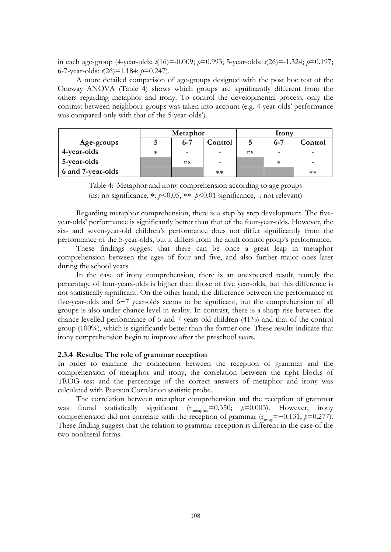in each age-group (4-year-olds: *t*(16)=-0.009; *p*=0.993; 5-year-olds: *t*(26)=-1.324; *p*=0.197; 6-7-year-olds: *t*(26)=1.184; *p*=0.247).

A more detailed comparison of age-groups designed with the post hoc test of the Oneway ANOVA (Table 4) shows which groups are significantly different from the others regarding metaphor and irony. To control the developmental process, only the contrast between neighbour groups was taken into account (e.g. 4-year-olds" performance was compared only with that of the 5-year-olds').

|                   | Metaphor |         |         | Irony |         |         |
|-------------------|----------|---------|---------|-------|---------|---------|
| Age-groups        |          | $6 - 7$ | Control |       | $6 - 7$ | Control |
| 4-year-olds       | ∗        | -       |         | ns    |         | -       |
| 5-year-olds       |          | ns      |         |       | ∗       | -       |
| 6 and 7-year-olds |          |         | **      |       |         | $***$   |

Table 4: Metaphor and irony comprehension according to age groups (ns: no significance,  $\ast: p \leq 0.05$ ,  $\ast \ast: p \leq 0.01$  significance, -: not relevant)

Regarding metaphor comprehension, there is a step by step development. The fiveyear-olds" performance is significantly better than that of the four-year-olds. However, the six- and seven-year-old children"s performance does not differ significantly from the performance of the 5-year-olds, but it differs from the adult control group"s performance.

These findings suggest that there can be once a great leap in metaphor comprehension between the ages of four and five, and also further major ones later during the school years.

In the case of irony comprehension, there is an unexpected result, namely the percentage of four-years-olds is higher than those of five year-olds, but this difference is not statistically significant. On the other hand, the difference between the performance of five-year-olds and 6−7 year-olds seems to be significant, but the comprehension of all groups is also under chance level in reality. In contrast, there is a sharp rise between the chance levelled performance of 6 and 7 years old children (41%) and that of the control group (100%), which is significantly better than the former one. These results indicate that irony comprehension begin to improve after the preschool years.

## **2.3.4 Results: The role of grammar reception**

In order to examine the connection between the reception of grammar and the comprehension of metaphor and irony, the correlation between the right blocks of TROG test and the percentage of the correct answers of metaphor and irony was calculated with Pearson Correlation statistic probe.

The correlation between metaphor comprehension and the reception of grammar was found statistically significant  $(r_{\text{metaphor}}=0.350; p=0.003)$ . However, irony comprehension did not correlate with the reception of grammar  $(r_{\text{irony}}=-0.131; p=0.277)$ . These finding suggest that the relation to grammar reception is different in the case of the two nonliteral forms.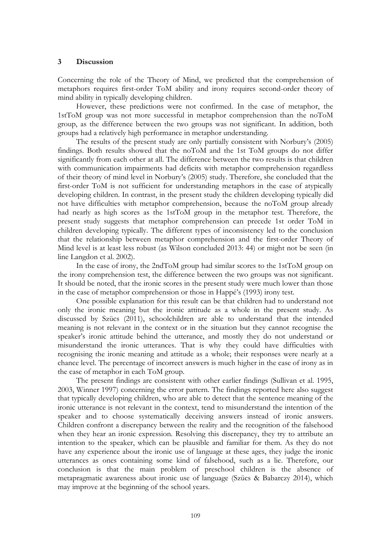## **3 Discussion**

Concerning the role of the Theory of Mind, we predicted that the comprehension of metaphors requires first-order ToM ability and irony requires second-order theory of mind ability in typically developing children.

However, these predictions were not confirmed. In the case of metaphor, the 1stToM group was not more successful in metaphor comprehension than the noToM group, as the difference between the two groups was not significant. In addition, both groups had a relatively high performance in metaphor understanding.

The results of the present study are only partially consistent with Norbury"s (2005) findings. Both results showed that the noToM and the 1st ToM groups do not differ significantly from each other at all. The difference between the two results is that children with communication impairments had deficits with metaphor comprehension regardless of their theory of mind level in Norbury"s (2005) study. Therefore, she concluded that the first-order ToM is not sufficient for understanding metaphors in the case of atypically developing children. In contrast, in the present study the children developing typically did not have difficulties with metaphor comprehension, because the noToM group already had nearly as high scores as the 1stToM group in the metaphor test. Therefore, the present study suggests that metaphor comprehension can precede 1st order ToM in children developing typically. The different types of inconsistency led to the conclusion that the relationship between metaphor comprehension and the first-order Theory of Mind level is at least less robust (as Wilson concluded 2013: 44) or might not be seen (in line Langdon et al. 2002).

In the case of irony, the 2ndToM group had similar scores to the 1stToM group on the irony comprehension test, the difference between the two groups was not significant. It should be noted, that the ironic scores in the present study were much lower than those in the case of metaphor comprehension or those in Happé's (1993) irony test.

One possible explanation for this result can be that children had to understand not only the ironic meaning but the ironic attitude as a whole in the present study. As discussed by Szücs (2011), schoolchildren are able to understand that the intended meaning is not relevant in the context or in the situation but they cannot recognise the speaker's ironic attitude behind the utterance, and mostly they do not understand or misunderstand the ironic utterances. That is why they could have difficulties with recognising the ironic meaning and attitude as a whole; their responses were nearly at a chance level. The percentage of incorrect answers is much higher in the case of irony as in the case of metaphor in each ToM group.

The present findings are consistent with other earlier findings (Sullivan et al. 1995, 2003, Winner 1997) concerning the error pattern. The findings reported here also suggest that typically developing children, who are able to detect that the sentence meaning of the ironic utterance is not relevant in the context, tend to misunderstand the intention of the speaker and to choose systematically deceiving answers instead of ironic answers. Children confront a discrepancy between the reality and the recognition of the falsehood when they hear an ironic expression. Resolving this discrepancy, they try to attribute an intention to the speaker, which can be plausible and familiar for them. As they do not have any experience about the ironic use of language at these ages, they judge the ironic utterances as ones containing some kind of falsehood, such as a lie. Therefore, our conclusion is that the main problem of preschool children is the absence of metapragmatic awareness about ironic use of language (Szücs & Babarczy 2014), which may improve at the beginning of the school years.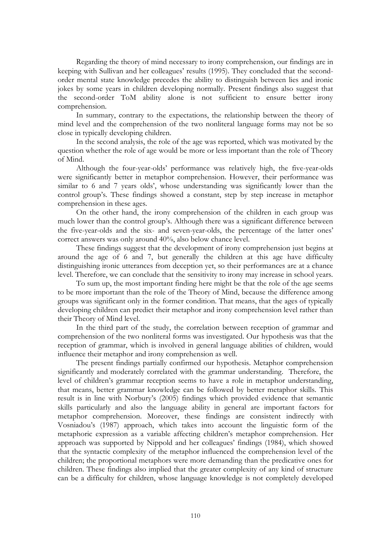Regarding the theory of mind necessary to irony comprehension, our findings are in keeping with Sullivan and her colleagues' results (1995). They concluded that the secondorder mental state knowledge precedes the ability to distinguish between lies and ironic jokes by some years in children developing normally. Present findings also suggest that the second-order ToM ability alone is not sufficient to ensure better irony comprehension.

In summary, contrary to the expectations, the relationship between the theory of mind level and the comprehension of the two nonliteral language forms may not be so close in typically developing children.

In the second analysis, the role of the age was reported, which was motivated by the question whether the role of age would be more or less important than the role of Theory of Mind.

Although the four-year-olds" performance was relatively high, the five-year-olds were significantly better in metaphor comprehension. However, their performance was similar to 6 and 7 years olds', whose understanding was significantly lower than the control group's. These findings showed a constant, step by step increase in metaphor comprehension in these ages.

On the other hand, the irony comprehension of the children in each group was much lower than the control group"s. Although there was a significant difference between the five-year-olds and the six- and seven-year-olds, the percentage of the latter ones" correct answers was only around 40%, also below chance level.

These findings suggest that the development of irony comprehension just begins at around the age of 6 and 7, but generally the children at this age have difficulty distinguishing ironic utterances from deception yet, so their performances are at a chance level. Therefore, we can conclude that the sensitivity to irony may increase in school years.

To sum up, the most important finding here might be that the role of the age seems to be more important than the role of the Theory of Mind, because the difference among groups was significant only in the former condition. That means, that the ages of typically developing children can predict their metaphor and irony comprehension level rather than their Theory of Mind level.

In the third part of the study, the correlation between reception of grammar and comprehension of the two nonliteral forms was investigated. Our hypothesis was that the reception of grammar, which is involved in general language abilities of children, would influence their metaphor and irony comprehension as well.

The present findings partially confirmed our hypothesis. Metaphor comprehension significantly and moderately correlated with the grammar understanding. Therefore, the level of children"s grammar reception seems to have a role in metaphor understanding, that means, better grammar knowledge can be followed by better metaphor skills. This result is in line with Norbury"s (2005) findings which provided evidence that semantic skills particularly and also the language ability in general are important factors for metaphor comprehension. Moreover, these findings are consistent indirectly with Vosniadou"s (1987) approach, which takes into account the linguistic form of the metaphoric expression as a variable affecting children"s metaphor comprehension. Her approach was supported by Nippold and her colleagues" findings (1984), which showed that the syntactic complexity of the metaphor influenced the comprehension level of the children; the proportional metaphors were more demanding than the predicative ones for children. These findings also implied that the greater complexity of any kind of structure can be a difficulty for children, whose language knowledge is not completely developed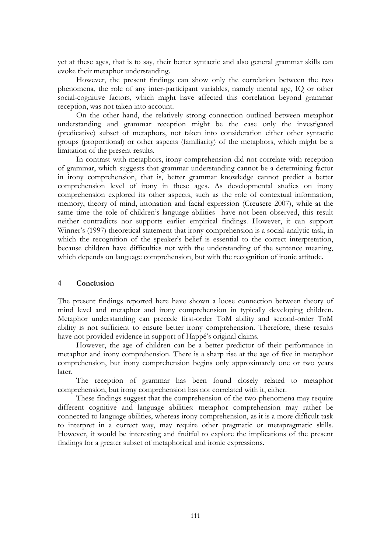yet at these ages, that is to say, their better syntactic and also general grammar skills can evoke their metaphor understanding.

However, the present findings can show only the correlation between the two phenomena, the role of any inter-participant variables, namely mental age, IQ or other social-cognitive factors, which might have affected this correlation beyond grammar reception, was not taken into account.

On the other hand, the relatively strong connection outlined between metaphor understanding and grammar reception might be the case only the investigated (predicative) subset of metaphors, not taken into consideration either other syntactic groups (proportional) or other aspects (familiarity) of the metaphors, which might be a limitation of the present results.

In contrast with metaphors, irony comprehension did not correlate with reception of grammar, which suggests that grammar understanding cannot be a determining factor in irony comprehension, that is, better grammar knowledge cannot predict a better comprehension level of irony in these ages. As developmental studies on irony comprehension explored its other aspects, such as the role of contextual information, memory, theory of mind, intonation and facial expression (Creusere 2007), while at the same time the role of children"s language abilities have not been observed, this result neither contradicts nor supports earlier empirical findings. However, it can support Winner's (1997) theoretical statement that irony comprehension is a social-analytic task, in which the recognition of the speaker's belief is essential to the correct interpretation, because children have difficulties not with the understanding of the sentence meaning, which depends on language comprehension, but with the recognition of ironic attitude.

## **4 Conclusion**

The present findings reported here have shown a loose connection between theory of mind level and metaphor and irony comprehension in typically developing children. Metaphor understanding can precede first-order ToM ability and second-order ToM ability is not sufficient to ensure better irony comprehension. Therefore, these results have not provided evidence in support of Happé's original claims.

However, the age of children can be a better predictor of their performance in metaphor and irony comprehension. There is a sharp rise at the age of five in metaphor comprehension, but irony comprehension begins only approximately one or two years later.

The reception of grammar has been found closely related to metaphor comprehension, but irony comprehension has not correlated with it, either.

These findings suggest that the comprehension of the two phenomena may require different cognitive and language abilities: metaphor comprehension may rather be connected to language abilities, whereas irony comprehension, as it is a more difficult task to interpret in a correct way, may require other pragmatic or metapragmatic skills. However, it would be interesting and fruitful to explore the implications of the present findings for a greater subset of metaphorical and ironic expressions.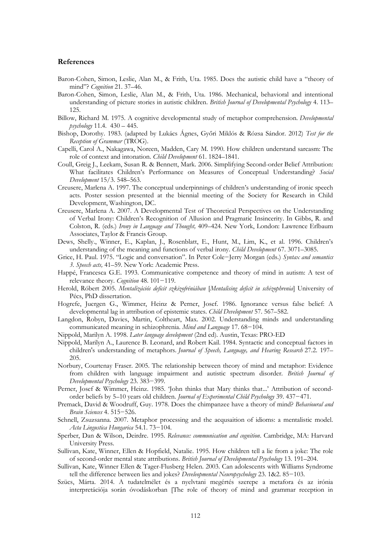## **References**

- Baron-Cohen, Simon, Leslie, Alan M., & Frith, Uta. 1985. Does the autistic child have a "theory of mind"? *Cognition* 21. 37–46.
- Baron-Cohen, Simon, Leslie, Alan M., & Frith, Uta. 1986. Mechanical, behavioral and intentional understanding of picture stories in autistic children. *British Journal of Developmental Psychology* 4. 113– 125.
- Billow, Richard M. 1975. A cognitive developmental study of metaphor comprehension. *Developmental psychology* 11.4. 430 – 445.
- Bishop, Dorothy. 1983. (adapted by Lukács Ágnes, Győri Miklós & Rózsa Sándor. 2012) *Test for the Reception of Grammar* (TROG).
- Capelli, Carol A., Nakagawa, Noreen, Madden, Cary M. 1990. How children understand sarcasm: The role of context and intonation. *Child Development* 61. 1824–1841.
- Coull, Greig J., Leekam, Susan R. & Bennett, Mark. 2006. Simplifying Second-order Belief Attribution: What facilitates Children"s Performance on Measures of Conceptual Understanding? *Social Development* 15/3. 548–563.
- Creusere, Marlena A. 1997. The conceptual underpinnings of children"s understanding of ironic speech acts. Poster session presented at the biennial meeting of the Society for Research in Child Development, Washington, DC.
- Creusere, Marlena A. 2007. A Developmental Test of Theoretical Perspectives on the Understanding of Verbal Irony: Children"s Recognition of Allusion and Pragmatic Insincerity. In Gibbs, R. and Colston, R. (eds.) *Irony in Language and Thought,* 409–424. New York, London: Lawrence Erlbaum Associates, Taylor & Francis Group.
- Dews, Shelly., Winner, E., Kaplan, J., Rosenblatt, E., Hunt, M., Lim, K., et al. 1996. Children"s understanding of the meaning and functions of verbal irony. *Child Development* 67. 3071–3085.
- Grice, H. Paul. 1975. "Logic and conversation". In Peter Cole−Jerry Morgan (eds.) *Syntax and semantics 3. Speech acts,* 41–59. New York: Academic Press.
- Happé, Francesca G.E. 1993. Communicative competence and theory of mind in autism: A test of relevance theory. *Cognition* 48. 101−119.
- Herold, Róbert 2005. *Mentalizációs deficit szkizofréniában* [*Mentalising deficit in schizophrenia*] University of Pécs, PhD dissertation.
- Hogrefe, Juergen G., Wimmer, Heinz & Perner, Josef. 1986. Ignorance versus false belief: A developmental lag in attribution of epistemic states. *Child Development* 57. 567–582.
- Langdon, Robyn, Davies, Martin, Coltheart, Max. 2002. Understanding minds and understanding communicated meaning in schizophrenia. *Mind and Language* 17. 68−104.
- Nippold, Marilyn A. 1998. *Later language development* (2nd ed). Austin, Texas: PRO-ED
- Nippold, Marilyn A., Laurence B. Leonard, and Robert Kail. 1984. Syntactic and conceptual factors in children's understanding of metaphors. *Journal of Speech, Language, and Hearing Research* 27.2. 197– 205.
- Norbury, Courtenay Fraser. 2005. The relationship between theory of mind and metaphor: Evidence from children with language impairment and autistic spectrum disorder. *British Journal of Developmental Psychology* 23. 383−399.
- Perner, Josef & Wimmer, Heinz. 1985. 'John thinks that Mary thinks that...' Attribution of secondorder beliefs by 5–10 years old children. *Journal of Experimental Child Psychology* 39. 437−471.
- Premack, David & Woodruff, Guy. 1978. Does the chimpanzee have a theory of mind? *Behavioural and Brain Sciences* 4. 515−526.
- Schnell, Zsuzsanna. 2007. Metaphor processing and the acqusaition of idioms: a mentalistic model. *Acta Lingustica Hungarica* 54.1. 73−104.
- Sperber, Dan & Wilson, Deirdre. 1995. *Relevance: communication and cognition*. Cambridge, MA: Harvard University Press.
- Sullivan, Kate, Winner, Ellen & Hopfield, Natalie. 1995. How children tell a lie from a joke: The role of second-order mental state attributions. *British Journal of Developmental Psychology* 13. 191–204.
- Sullivan, Kate, Winner Ellen & Tager-Flusberg Helen. 2003. Can adolescents with Williams Syndrome tell the difference between lies and jokes? *Develeopmental Neuropsychology* 23. 1&2. 85−103.
- Szücs, Márta. 2014. A tudatelmélet és a nyelvtani megértés szerepe a metafora és az irónia interpretációja során óvodáskorban [The role of theory of mind and grammar reception in